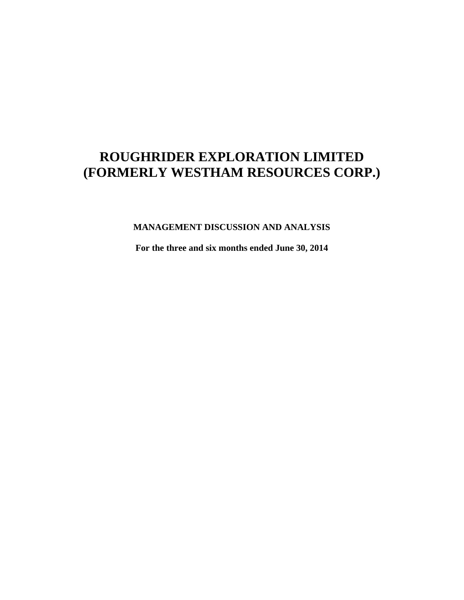# **MANAGEMENT DISCUSSION AND ANALYSIS**

**For the three and six months ended June 30, 2014**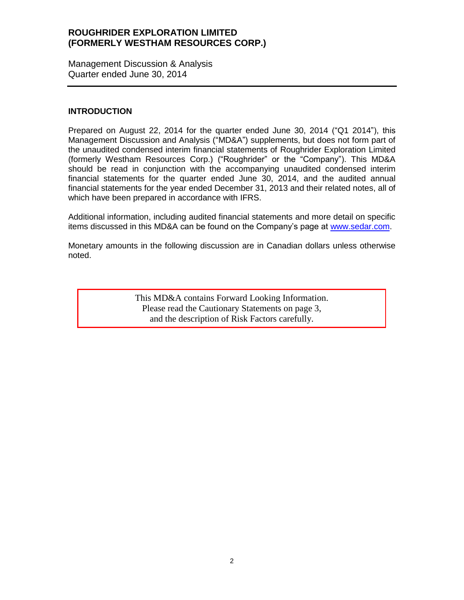Management Discussion & Analysis Quarter ended June 30, 2014

#### **INTRODUCTION**

Prepared on August 22, 2014 for the quarter ended June 30, 2014 ("Q1 2014"), this Management Discussion and Analysis ("MD&A") supplements, but does not form part of the unaudited condensed interim financial statements of Roughrider Exploration Limited (formerly Westham Resources Corp.) ("Roughrider" or the "Company"). This MD&A should be read in conjunction with the accompanying unaudited condensed interim financial statements for the quarter ended June 30, 2014, and the audited annual financial statements for the year ended December 31, 2013 and their related notes, all of which have been prepared in accordance with IFRS.

Additional information, including audited financial statements and more detail on specific items discussed in this MD&A can be found on the Company's page at [www.sedar.com.](http://www.sedar.com/)

Monetary amounts in the following discussion are in Canadian dollars unless otherwise noted.

> This MD&A contains Forward Looking Information. Please read the Cautionary Statements on page 3, and the description of Risk Factors carefully.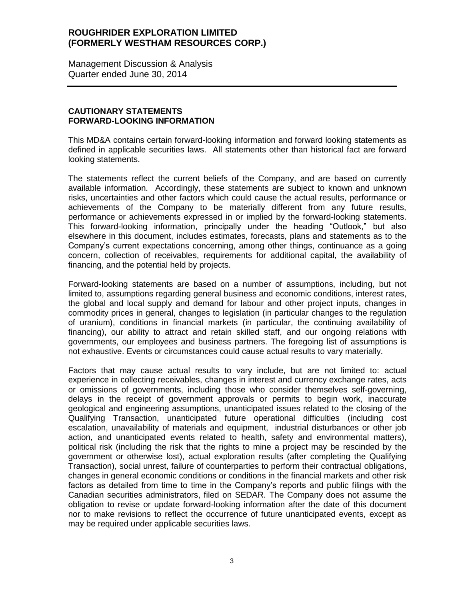Management Discussion & Analysis Quarter ended June 30, 2014

# **CAUTIONARY STATEMENTS FORWARD-LOOKING INFORMATION**

This MD&A contains certain forward-looking information and forward looking statements as defined in applicable securities laws. All statements other than historical fact are forward looking statements.

The statements reflect the current beliefs of the Company, and are based on currently available information. Accordingly, these statements are subject to known and unknown risks, uncertainties and other factors which could cause the actual results, performance or achievements of the Company to be materially different from any future results, performance or achievements expressed in or implied by the forward-looking statements. This forward-looking information, principally under the heading "Outlook," but also elsewhere in this document, includes estimates, forecasts, plans and statements as to the Company's current expectations concerning, among other things, continuance as a going concern, collection of receivables, requirements for additional capital, the availability of financing, and the potential held by projects.

Forward-looking statements are based on a number of assumptions, including, but not limited to, assumptions regarding general business and economic conditions, interest rates, the global and local supply and demand for labour and other project inputs, changes in commodity prices in general, changes to legislation (in particular changes to the regulation of uranium), conditions in financial markets (in particular, the continuing availability of financing), our ability to attract and retain skilled staff, and our ongoing relations with governments, our employees and business partners. The foregoing list of assumptions is not exhaustive. Events or circumstances could cause actual results to vary materially.

Factors that may cause actual results to vary include, but are not limited to: actual experience in collecting receivables, changes in interest and currency exchange rates, acts or omissions of governments, including those who consider themselves self-governing, delays in the receipt of government approvals or permits to begin work, inaccurate geological and engineering assumptions, unanticipated issues related to the closing of the Qualifying Transaction, unanticipated future operational difficulties (including cost escalation, unavailability of materials and equipment, industrial disturbances or other job action, and unanticipated events related to health, safety and environmental matters), political risk (including the risk that the rights to mine a project may be rescinded by the government or otherwise lost), actual exploration results (after completing the Qualifying Transaction), social unrest, failure of counterparties to perform their contractual obligations, changes in general economic conditions or conditions in the financial markets and other risk factors as detailed from time to time in the Company's reports and public filings with the Canadian securities administrators, filed on SEDAR. The Company does not assume the obligation to revise or update forward-looking information after the date of this document nor to make revisions to reflect the occurrence of future unanticipated events, except as may be required under applicable securities laws.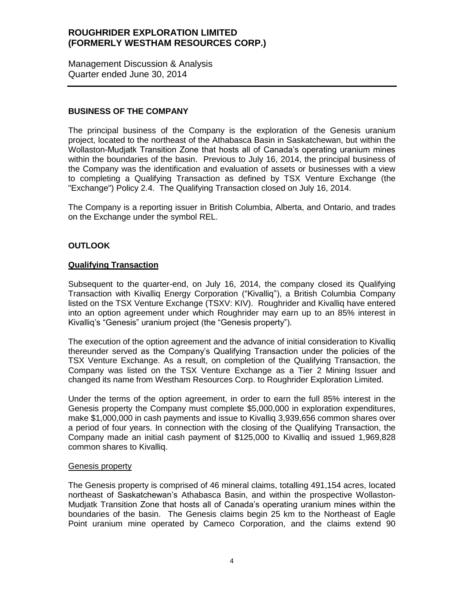Management Discussion & Analysis Quarter ended June 30, 2014

# **BUSINESS OF THE COMPANY**

The principal business of the Company is the exploration of the Genesis uranium project, located to the northeast of the Athabasca Basin in Saskatchewan, but within the Wollaston-Mudjatk Transition Zone that hosts all of Canada's operating uranium mines within the boundaries of the basin. Previous to July 16, 2014, the principal business of the Company was the identification and evaluation of assets or businesses with a view to completing a Qualifying Transaction as defined by TSX Venture Exchange (the "Exchange") Policy 2.4. The Qualifying Transaction closed on July 16, 2014.

The Company is a reporting issuer in British Columbia, Alberta, and Ontario, and trades on the Exchange under the symbol REL.

# **OUTLOOK**

# **Qualifying Transaction**

Subsequent to the quarter-end, on July 16, 2014, the company closed its Qualifying Transaction with Kivalliq Energy Corporation ("Kivalliq"), a British Columbia Company listed on the TSX Venture Exchange (TSXV: KIV). Roughrider and Kivalliq have entered into an option agreement under which Roughrider may earn up to an 85% interest in Kivalliq's "Genesis" uranium project (the "Genesis property").

The execution of the option agreement and the advance of initial consideration to Kivalliq thereunder served as the Company's Qualifying Transaction under the policies of the TSX Venture Exchange. As a result, on completion of the Qualifying Transaction, the Company was listed on the TSX Venture Exchange as a Tier 2 Mining Issuer and changed its name from Westham Resources Corp. to Roughrider Exploration Limited.

Under the terms of the option agreement, in order to earn the full 85% interest in the Genesis property the Company must complete \$5,000,000 in exploration expenditures, make \$1,000,000 in cash payments and issue to Kivalliq 3,939,656 common shares over a period of four years. In connection with the closing of the Qualifying Transaction, the Company made an initial cash payment of \$125,000 to Kivalliq and issued 1,969,828 common shares to Kivalliq.

#### **Genesis property**

The Genesis property is comprised of 46 mineral claims, totalling 491,154 acres, located northeast of Saskatchewan's Athabasca Basin, and within the prospective Wollaston-Mudjatk Transition Zone that hosts all of Canada's operating uranium mines within the boundaries of the basin. The Genesis claims begin 25 km to the Northeast of Eagle Point uranium mine operated by Cameco Corporation, and the claims extend 90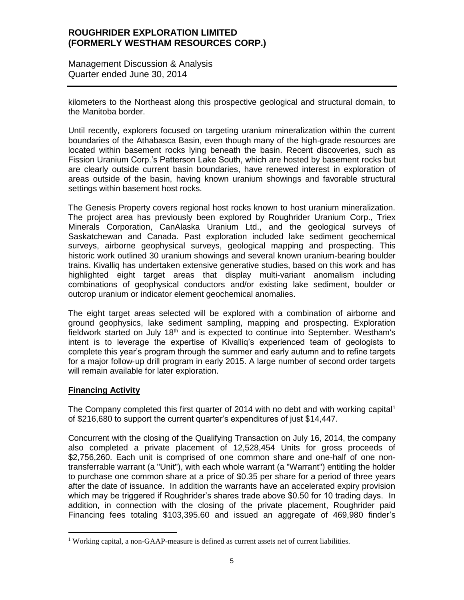Management Discussion & Analysis Quarter ended June 30, 2014

kilometers to the Northeast along this prospective geological and structural domain, to the Manitoba border.

Until recently, explorers focused on targeting uranium mineralization within the current boundaries of the Athabasca Basin, even though many of the high‐grade resources are located within basement rocks lying beneath the basin. Recent discoveries, such as Fission Uranium Corp.'s Patterson Lake South, which are hosted by basement rocks but are clearly outside current basin boundaries, have renewed interest in exploration of areas outside of the basin, having known uranium showings and favorable structural settings within basement host rocks.

The Genesis Property covers regional host rocks known to host uranium mineralization. The project area has previously been explored by Roughrider Uranium Corp., Triex Minerals Corporation, CanAlaska Uranium Ltd., and the geological surveys of Saskatchewan and Canada. Past exploration included lake sediment geochemical surveys, airborne geophysical surveys, geological mapping and prospecting. This historic work outlined 30 uranium showings and several known uranium‐bearing boulder trains. Kivalliq has undertaken extensive generative studies, based on this work and has highlighted eight target areas that display multi‐variant anomalism including combinations of geophysical conductors and/or existing lake sediment, boulder or outcrop uranium or indicator element geochemical anomalies.

The eight target areas selected will be explored with a combination of airborne and ground geophysics, lake sediment sampling, mapping and prospecting. Exploration fieldwork started on July  $18<sup>th</sup>$  and is expected to continue into September. Westham's intent is to leverage the expertise of Kivalliq's experienced team of geologists to complete this year's program through the summer and early autumn and to refine targets for a major follow‐up drill program in early 2015. A large number of second order targets will remain available for later exploration.

# **Financing Activity**

 $\overline{a}$ 

The Company completed this first quarter of 2014 with no debt and with working capital<sup>1</sup> of \$216,680 to support the current quarter's expenditures of just \$14,447.

Concurrent with the closing of the Qualifying Transaction on July 16, 2014, the company also completed a private placement of 12,528,454 Units for gross proceeds of \$2,756,260. Each unit is comprised of one common share and one-half of one nontransferrable warrant (a "Unit"), with each whole warrant (a "Warrant") entitling the holder to purchase one common share at a price of \$0.35 per share for a period of three years after the date of issuance. In addition the warrants have an accelerated expiry provision which may be triggered if Roughrider's shares trade above \$0.50 for 10 trading days. In addition, in connection with the closing of the private placement, Roughrider paid Financing fees totaling \$103,395.60 and issued an aggregate of 469,980 finder's

<sup>&</sup>lt;sup>1</sup> Working capital, a non-GAAP-measure is defined as current assets net of current liabilities.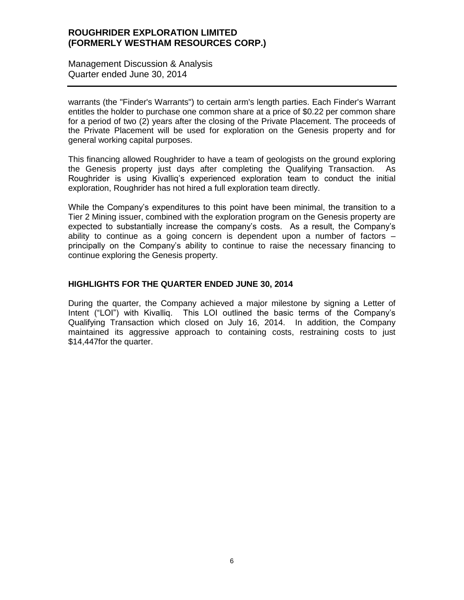Management Discussion & Analysis Quarter ended June 30, 2014

warrants (the "Finder's Warrants") to certain arm's length parties. Each Finder's Warrant entitles the holder to purchase one common share at a price of \$0.22 per common share for a period of two (2) years after the closing of the Private Placement. The proceeds of the Private Placement will be used for exploration on the Genesis property and for general working capital purposes.

This financing allowed Roughrider to have a team of geologists on the ground exploring the Genesis property just days after completing the Qualifying Transaction. As Roughrider is using Kivalliq's experienced exploration team to conduct the initial exploration, Roughrider has not hired a full exploration team directly.

While the Company's expenditures to this point have been minimal, the transition to a Tier 2 Mining issuer, combined with the exploration program on the Genesis property are expected to substantially increase the company's costs. As a result, the Company's ability to continue as a going concern is dependent upon a number of factors – principally on the Company's ability to continue to raise the necessary financing to continue exploring the Genesis property.

# **HIGHLIGHTS FOR THE QUARTER ENDED JUNE 30, 2014**

During the quarter, the Company achieved a major milestone by signing a Letter of Intent ("LOI") with Kivalliq. This LOI outlined the basic terms of the Company's Qualifying Transaction which closed on July 16, 2014. In addition, the Company maintained its aggressive approach to containing costs, restraining costs to just \$14,447for the quarter.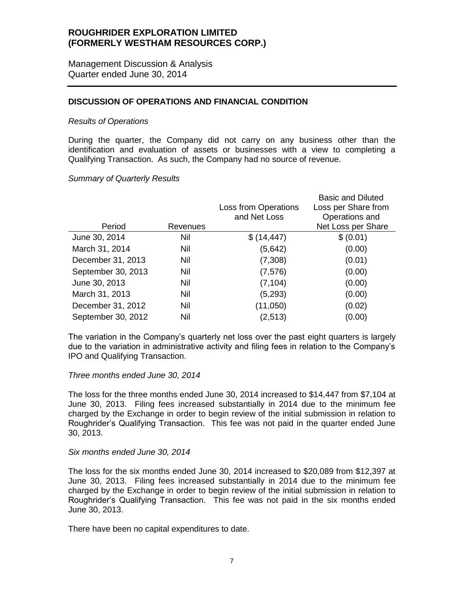Management Discussion & Analysis Quarter ended June 30, 2014

# **DISCUSSION OF OPERATIONS AND FINANCIAL CONDITION**

#### *Results of Operations*

During the quarter, the Company did not carry on any business other than the identification and evaluation of assets or businesses with a view to completing a Qualifying Transaction. As such, the Company had no source of revenue.

#### *Summary of Quarterly Results*

|                    |          |                             | <b>Basic and Diluted</b> |
|--------------------|----------|-----------------------------|--------------------------|
|                    |          | <b>Loss from Operations</b> | Loss per Share from      |
|                    |          | and Net Loss                | Operations and           |
| Period             | Revenues |                             | Net Loss per Share       |
| June 30, 2014      | Nil      | \$(14, 447)                 | \$ (0.01)                |
| March 31, 2014     | Nil      | (5,642)                     | (0.00)                   |
| December 31, 2013  | Nil      | (7,308)                     | (0.01)                   |
| September 30, 2013 | Nil      | (7, 576)                    | (0.00)                   |
| June 30, 2013      | Nil      | (7, 104)                    | (0.00)                   |
| March 31, 2013     | Nil      | (5,293)                     | (0.00)                   |
| December 31, 2012  | Nil      | (11,050)                    | (0.02)                   |
| September 30, 2012 | Nil      | (2,513)                     | (0.00)                   |

The variation in the Company's quarterly net loss over the past eight quarters is largely due to the variation in administrative activity and filing fees in relation to the Company's IPO and Qualifying Transaction.

#### *Three months ended June 30, 2014*

The loss for the three months ended June 30, 2014 increased to \$14,447 from \$7,104 at June 30, 2013. Filing fees increased substantially in 2014 due to the minimum fee charged by the Exchange in order to begin review of the initial submission in relation to Roughrider's Qualifying Transaction. This fee was not paid in the quarter ended June 30, 2013.

#### *Six months ended June 30, 2014*

The loss for the six months ended June 30, 2014 increased to \$20,089 from \$12,397 at June 30, 2013. Filing fees increased substantially in 2014 due to the minimum fee charged by the Exchange in order to begin review of the initial submission in relation to Roughrider's Qualifying Transaction. This fee was not paid in the six months ended June 30, 2013.

There have been no capital expenditures to date.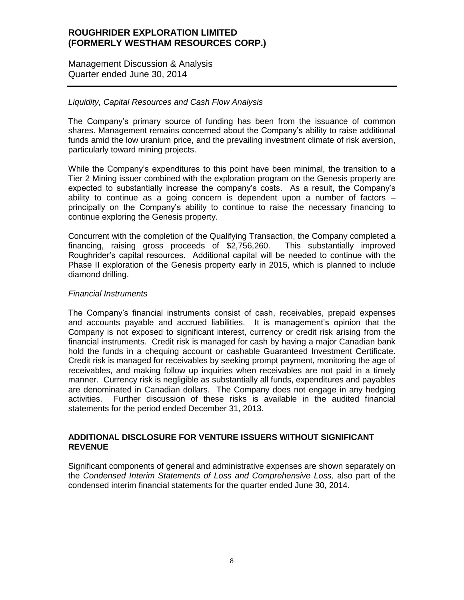Management Discussion & Analysis Quarter ended June 30, 2014

## *Liquidity, Capital Resources and Cash Flow Analysis*

The Company's primary source of funding has been from the issuance of common shares. Management remains concerned about the Company's ability to raise additional funds amid the low uranium price, and the prevailing investment climate of risk aversion, particularly toward mining projects.

While the Company's expenditures to this point have been minimal, the transition to a Tier 2 Mining issuer combined with the exploration program on the Genesis property are expected to substantially increase the company's costs. As a result, the Company's ability to continue as a going concern is dependent upon a number of factors – principally on the Company's ability to continue to raise the necessary financing to continue exploring the Genesis property.

Concurrent with the completion of the Qualifying Transaction, the Company completed a financing, raising gross proceeds of \$2,756,260. This substantially improved Roughrider's capital resources. Additional capital will be needed to continue with the Phase II exploration of the Genesis property early in 2015, which is planned to include diamond drilling.

#### *Financial Instruments*

The Company's financial instruments consist of cash, receivables, prepaid expenses and accounts payable and accrued liabilities. It is management's opinion that the Company is not exposed to significant interest, currency or credit risk arising from the financial instruments. Credit risk is managed for cash by having a major Canadian bank hold the funds in a chequing account or cashable Guaranteed Investment Certificate. Credit risk is managed for receivables by seeking prompt payment, monitoring the age of receivables, and making follow up inquiries when receivables are not paid in a timely manner. Currency risk is negligible as substantially all funds, expenditures and payables are denominated in Canadian dollars. The Company does not engage in any hedging activities. Further discussion of these risks is available in the audited financial statements for the period ended December 31, 2013.

#### **ADDITIONAL DISCLOSURE FOR VENTURE ISSUERS WITHOUT SIGNIFICANT REVENUE**

Significant components of general and administrative expenses are shown separately on the *Condensed Interim Statements of Loss and Comprehensive Loss,* also part of the condensed interim financial statements for the quarter ended June 30, 2014.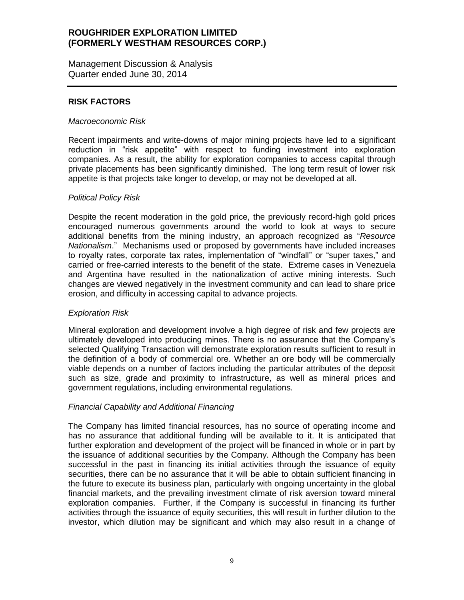Management Discussion & Analysis Quarter ended June 30, 2014

# **RISK FACTORS**

#### *Macroeconomic Risk*

Recent impairments and write-downs of major mining projects have led to a significant reduction in "risk appetite" with respect to funding investment into exploration companies. As a result, the ability for exploration companies to access capital through private placements has been significantly diminished. The long term result of lower risk appetite is that projects take longer to develop, or may not be developed at all.

#### *Political Policy Risk*

Despite the recent moderation in the gold price, the previously record-high gold prices encouraged numerous governments around the world to look at ways to secure additional benefits from the mining industry, an approach recognized as "*Resource Nationalism*." Mechanisms used or proposed by governments have included increases to royalty rates, corporate tax rates, implementation of "windfall" or "super taxes," and carried or free-carried interests to the benefit of the state. Extreme cases in Venezuela and Argentina have resulted in the nationalization of active mining interests. Such changes are viewed negatively in the investment community and can lead to share price erosion, and difficulty in accessing capital to advance projects.

# *Exploration Risk*

Mineral exploration and development involve a high degree of risk and few projects are ultimately developed into producing mines. There is no assurance that the Company's selected Qualifying Transaction will demonstrate exploration results sufficient to result in the definition of a body of commercial ore. Whether an ore body will be commercially viable depends on a number of factors including the particular attributes of the deposit such as size, grade and proximity to infrastructure, as well as mineral prices and government regulations, including environmental regulations.

# *Financial Capability and Additional Financing*

The Company has limited financial resources, has no source of operating income and has no assurance that additional funding will be available to it. It is anticipated that further exploration and development of the project will be financed in whole or in part by the issuance of additional securities by the Company. Although the Company has been successful in the past in financing its initial activities through the issuance of equity securities, there can be no assurance that it will be able to obtain sufficient financing in the future to execute its business plan, particularly with ongoing uncertainty in the global financial markets, and the prevailing investment climate of risk aversion toward mineral exploration companies. Further, if the Company is successful in financing its further activities through the issuance of equity securities, this will result in further dilution to the investor, which dilution may be significant and which may also result in a change of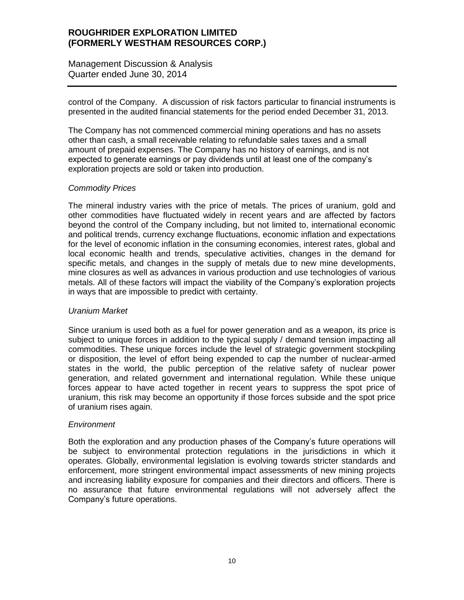Management Discussion & Analysis Quarter ended June 30, 2014

control of the Company. A discussion of risk factors particular to financial instruments is presented in the audited financial statements for the period ended December 31, 2013.

The Company has not commenced commercial mining operations and has no assets other than cash, a small receivable relating to refundable sales taxes and a small amount of prepaid expenses. The Company has no history of earnings, and is not expected to generate earnings or pay dividends until at least one of the company's exploration projects are sold or taken into production.

# *Commodity Prices*

The mineral industry varies with the price of metals. The prices of uranium, gold and other commodities have fluctuated widely in recent years and are affected by factors beyond the control of the Company including, but not limited to, international economic and political trends, currency exchange fluctuations, economic inflation and expectations for the level of economic inflation in the consuming economies, interest rates, global and local economic health and trends, speculative activities, changes in the demand for specific metals, and changes in the supply of metals due to new mine developments, mine closures as well as advances in various production and use technologies of various metals. All of these factors will impact the viability of the Company's exploration projects in ways that are impossible to predict with certainty.

# *Uranium Market*

Since uranium is used both as a fuel for power generation and as a weapon, its price is subject to unique forces in addition to the typical supply / demand tension impacting all commodities. These unique forces include the level of strategic government stockpiling or disposition, the level of effort being expended to cap the number of nuclear-armed states in the world, the public perception of the relative safety of nuclear power generation, and related government and international regulation. While these unique forces appear to have acted together in recent years to suppress the spot price of uranium, this risk may become an opportunity if those forces subside and the spot price of uranium rises again.

# *Environment*

Both the exploration and any production phases of the Company's future operations will be subject to environmental protection regulations in the jurisdictions in which it operates. Globally, environmental legislation is evolving towards stricter standards and enforcement, more stringent environmental impact assessments of new mining projects and increasing liability exposure for companies and their directors and officers. There is no assurance that future environmental regulations will not adversely affect the Company's future operations.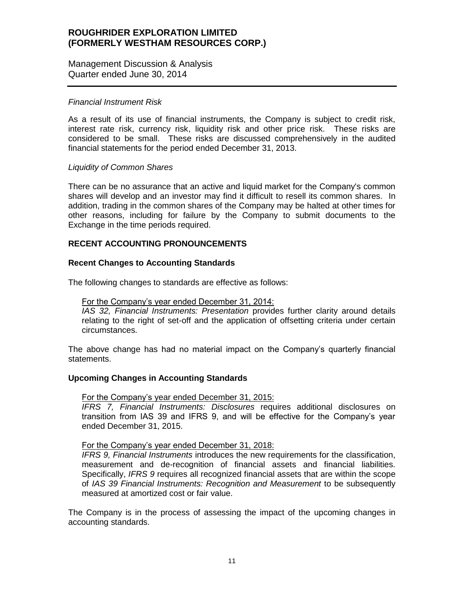Management Discussion & Analysis Quarter ended June 30, 2014

#### *Financial Instrument Risk*

As a result of its use of financial instruments, the Company is subject to credit risk, interest rate risk, currency risk, liquidity risk and other price risk. These risks are considered to be small. These risks are discussed comprehensively in the audited financial statements for the period ended December 31, 2013.

#### *Liquidity of Common Shares*

There can be no assurance that an active and liquid market for the Company's common shares will develop and an investor may find it difficult to resell its common shares. In addition, trading in the common shares of the Company may be halted at other times for other reasons, including for failure by the Company to submit documents to the Exchange in the time periods required.

# **RECENT ACCOUNTING PRONOUNCEMENTS**

# **Recent Changes to Accounting Standards**

The following changes to standards are effective as follows:

## For the Company's year ended December 31, 2014:

*IAS 32, Financial Instruments: Presentation* provides further clarity around details relating to the right of set-off and the application of offsetting criteria under certain circumstances.

The above change has had no material impact on the Company's quarterly financial statements.

# **Upcoming Changes in Accounting Standards**

#### For the Company's year ended December 31, 2015:

*IFRS 7, Financial Instruments: Disclosures* requires additional disclosures on transition from IAS 39 and IFRS 9, and will be effective for the Company's year ended December 31, 2015.

#### For the Company's year ended December 31, 2018:

*IFRS 9, Financial Instruments* introduces the new requirements for the classification, measurement and de-recognition of financial assets and financial liabilities. Specifically, *IFRS 9* requires all recognized financial assets that are within the scope of *IAS 39 Financial Instruments: Recognition and Measurement* to be subsequently measured at amortized cost or fair value.

The Company is in the process of assessing the impact of the upcoming changes in accounting standards.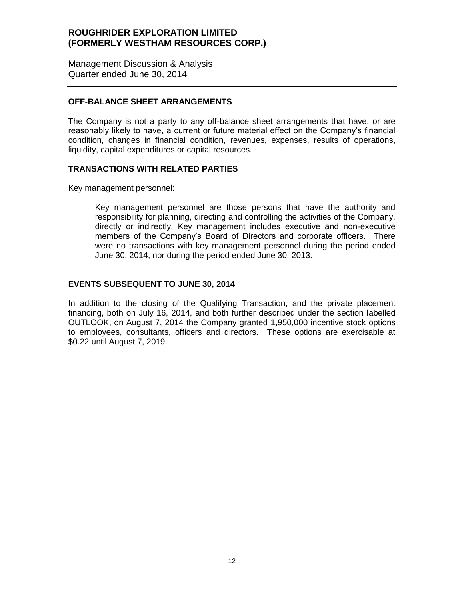Management Discussion & Analysis Quarter ended June 30, 2014

## **OFF-BALANCE SHEET ARRANGEMENTS**

The Company is not a party to any off-balance sheet arrangements that have, or are reasonably likely to have, a current or future material effect on the Company's financial condition, changes in financial condition, revenues, expenses, results of operations, liquidity, capital expenditures or capital resources.

#### **TRANSACTIONS WITH RELATED PARTIES**

Key management personnel:

Key management personnel are those persons that have the authority and responsibility for planning, directing and controlling the activities of the Company, directly or indirectly. Key management includes executive and non-executive members of the Company's Board of Directors and corporate officers. There were no transactions with key management personnel during the period ended June 30, 2014, nor during the period ended June 30, 2013.

#### **EVENTS SUBSEQUENT TO JUNE 30, 2014**

In addition to the closing of the Qualifying Transaction, and the private placement financing, both on July 16, 2014, and both further described under the section labelled OUTLOOK, on August 7, 2014 the Company granted 1,950,000 incentive stock options to employees, consultants, officers and directors. These options are exercisable at \$0.22 until August 7, 2019.